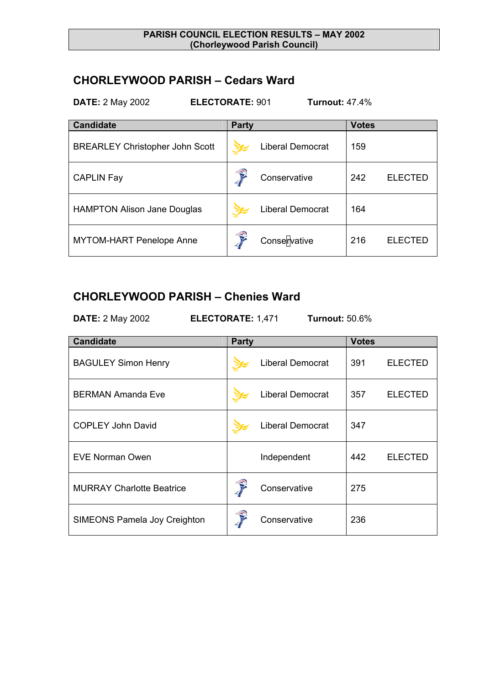#### **PARISH COUNCIL ELECTION RESULTS – MAY 2002 (Chorleywood Parish Council)**

## **CHORLEYWOOD PARISH – Cedars Ward**

**DATE:** 2 May 2002 **ELECTORATE:** 901 **Turnout:** 47.4%

| <b>Candidate</b>                       | <b>Party</b> |                         | <b>Votes</b> |                |
|----------------------------------------|--------------|-------------------------|--------------|----------------|
| <b>BREARLEY Christopher John Scott</b> |              | <b>Liberal Democrat</b> | 159          |                |
| <b>CAPLIN Fay</b>                      |              | Conservative            | 242          | <b>ELECTED</b> |
| <b>HAMPTON Alison Jane Douglas</b>     |              | <b>Liberal Democrat</b> | 164          |                |
| <b>MYTOM-HART Penelope Anne</b>        |              | Conservative            | 216          | <b>ELECTED</b> |

### **CHORLEYWOOD PARISH – Chenies Ward**

**DATE:** 2 May 2002 **ELECTORATE:** 1,471 **Turnout:** 50.6%

| <b>Candidate</b>                    | <b>Party</b> |                         | <b>Votes</b> |                |
|-------------------------------------|--------------|-------------------------|--------------|----------------|
| <b>BAGULEY Simon Henry</b>          |              | <b>Liberal Democrat</b> | 391          | <b>ELECTED</b> |
| <b>BERMAN Amanda Eve</b>            |              | <b>Liberal Democrat</b> | 357          | <b>ELECTED</b> |
| <b>COPLEY John David</b>            |              | <b>Liberal Democrat</b> | 347          |                |
| EVE Norman Owen                     |              | Independent             | 442          | <b>ELECTED</b> |
| <b>MURRAY Charlotte Beatrice</b>    |              | Conservative            | 275          |                |
| <b>SIMEONS Pamela Joy Creighton</b> |              | Conservative            | 236          |                |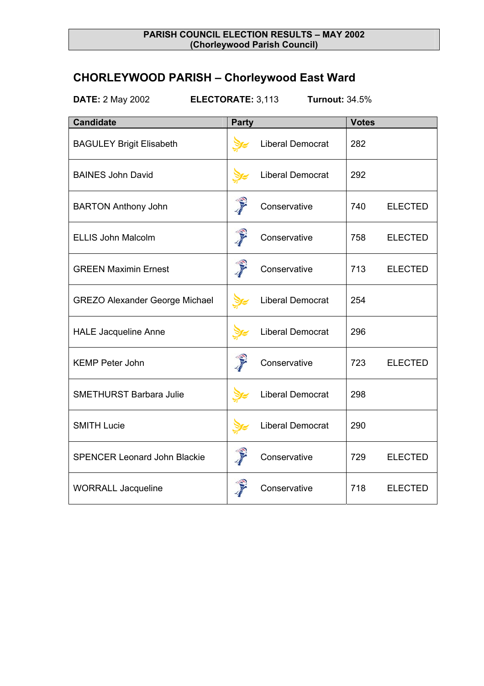### **PARISH COUNCIL ELECTION RESULTS – MAY 2002 (Chorleywood Parish Council)**

# **CHORLEYWOOD PARISH – Chorleywood East Ward**

**DATE:** 2 May 2002 **ELECTORATE:** 3,113 **Turnout:** 34.5%

| <b>Candidate</b>                      | <b>Party</b>                                                                                                                                                                                                                         |                         | <b>Votes</b> |                |
|---------------------------------------|--------------------------------------------------------------------------------------------------------------------------------------------------------------------------------------------------------------------------------------|-------------------------|--------------|----------------|
| <b>BAGULEY Brigit Elisabeth</b>       |                                                                                                                                                                                                                                      | <b>Liberal Democrat</b> | 282          |                |
| <b>BAINES John David</b>              |                                                                                                                                                                                                                                      | <b>Liberal Democrat</b> | 292          |                |
| <b>BARTON Anthony John</b>            | T                                                                                                                                                                                                                                    | Conservative            | 740          | <b>ELECTED</b> |
| <b>ELLIS John Malcolm</b>             | T                                                                                                                                                                                                                                    | Conservative            | 758          | <b>ELECTED</b> |
| <b>GREEN Maximin Ernest</b>           | <b>Contract of the Contract of the Contract of the Contract of the Contract of the Contract of The Contract of The Contract of The Contract of The Contract of The Contract of The Contract of The Contract of The Contract of T</b> | Conservative            | 713          | <b>ELECTED</b> |
| <b>GREZO Alexander George Michael</b> |                                                                                                                                                                                                                                      | Liberal Democrat        | 254          |                |
| <b>HALE Jacqueline Anne</b>           |                                                                                                                                                                                                                                      | <b>Liberal Democrat</b> | 296          |                |
| <b>KEMP Peter John</b>                | T                                                                                                                                                                                                                                    | Conservative            | 723          | <b>ELECTED</b> |
| <b>SMETHURST Barbara Julie</b>        |                                                                                                                                                                                                                                      | <b>Liberal Democrat</b> | 298          |                |
| <b>SMITH Lucie</b>                    |                                                                                                                                                                                                                                      | <b>Liberal Democrat</b> | 290          |                |
| <b>SPENCER Leonard John Blackie</b>   | T                                                                                                                                                                                                                                    | Conservative            | 729          | <b>ELECTED</b> |
| <b>WORRALL Jacqueline</b>             |                                                                                                                                                                                                                                      | Conservative            | 718          | <b>ELECTED</b> |